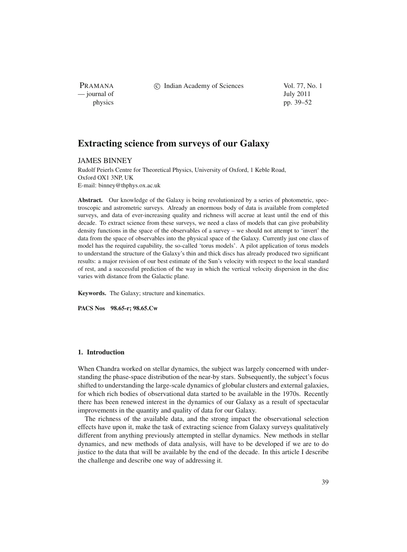PRAMANA — journal of July 2011

c Indian Academy of Sciences Vol. 77, No. 1

physics pp. 39–52

# **Extracting science from surveys of our Galaxy**

# JAMES BINNEY

Rudolf Peierls Centre for Theoretical Physics, University of Oxford, 1 Keble Road, Oxford OX1 3NP, UK E-mail: binney@thphys.ox.ac.uk

Abstract. Our knowledge of the Galaxy is being revolutionized by a series of photometric, spectroscopic and astrometric surveys. Already an enormous body of data is available from completed surveys, and data of ever-increasing quality and richness will accrue at least until the end of this decade. To extract science from these surveys, we need a class of models that can give probability density functions in the space of the observables of a survey – we should not attempt to 'invert' the data from the space of observables into the physical space of the Galaxy. Currently just one class of model has the required capability, the so-called 'torus models'. A pilot application of torus models to understand the structure of the Galaxy's thin and thick discs has already produced two significant results: a major revision of our best estimate of the Sun's velocity with respect to the local standard of rest, and a successful prediction of the way in which the vertical velocity dispersion in the disc varies with distance from the Galactic plane.

**Keywords.** The Galaxy; structure and kinematics.

**PACS Nos 98.65-r; 98.65.Cw**

# **1. Introduction**

When Chandra worked on stellar dynamics, the subject was largely concerned with understanding the phase-space distribution of the near-by stars. Subsequently, the subject's focus shifted to understanding the large-scale dynamics of globular clusters and external galaxies, for which rich bodies of observational data started to be available in the 1970s. Recently there has been renewed interest in the dynamics of our Galaxy as a result of spectacular improvements in the quantity and quality of data for our Galaxy.

The richness of the available data, and the strong impact the observational selection effects have upon it, make the task of extracting science from Galaxy surveys qualitatively different from anything previously attempted in stellar dynamics. New methods in stellar dynamics, and new methods of data analysis, will have to be developed if we are to do justice to the data that will be available by the end of the decade. In this article I describe the challenge and describe one way of addressing it.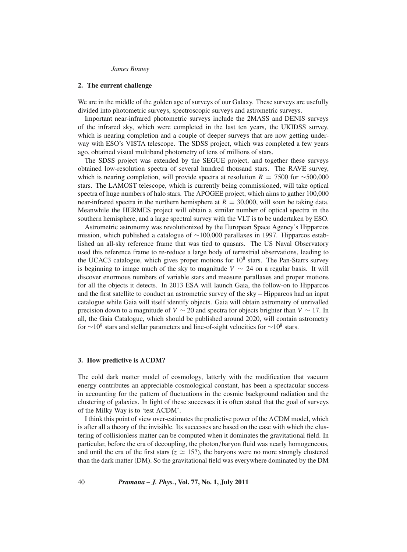#### **2. The current challenge**

We are in the middle of the golden age of surveys of our Galaxy. These surveys are usefully divided into photometric surveys, spectroscopic surveys and astrometric surveys.

Important near-infrared photometric surveys include the 2MASS and DENIS surveys of the infrared sky, which were completed in the last ten years, the UKIDSS survey, which is nearing completion and a couple of deeper surveys that are now getting underway with ESO's VISTA telescope. The SDSS project, which was completed a few years ago, obtained visual multiband photometry of tens of millions of stars.

The SDSS project was extended by the SEGUE project, and together these surveys obtained low-resolution spectra of several hundred thousand stars. The RAVE survey, which is nearing completion, will provide spectra at resolution *R* = 7500 for ∼500,000 stars. The LAMOST telescope, which is currently being commissioned, will take optical spectra of huge numbers of halo stars. The APOGEE project, which aims to gather 100,000 near-infrared spectra in the northern hemisphere at  $R = 30,000$ , will soon be taking data. Meanwhile the HERMES project will obtain a similar number of optical spectra in the southern hemisphere, and a large spectral survey with the VLT is to be undertaken by ESO.

Astrometric astronomy was revolutionized by the European Space Agency's Hipparcos mission, which published a catalogue of ∼100,000 parallaxes in 1997. Hipparcos established an all-sky reference frame that was tied to quasars. The US Naval Observatory used this reference frame to re-reduce a large body of terrestrial observations, leading to the UCAC3 catalogue, which gives proper motions for  $10<sup>8</sup>$  stars. The Pan-Starrs survey is beginning to image much of the sky to magnitude  $V \sim 24$  on a regular basis. It will discover enormous numbers of variable stars and measure parallaxes and proper motions for all the objects it detects. In 2013 ESA will launch Gaia, the follow-on to Hipparcos and the first satellite to conduct an astrometric survey of the sky – Hipparcos had an input catalogue while Gaia will itself identify objects. Gaia will obtain astrometry of unrivalled precision down to a magnitude of *V* ∼ 20 and spectra for objects brighter than *V* ∼ 17. In all, the Gaia Catalogue, which should be published around 2020, will contain astrometry for  $\sim$ 10<sup>9</sup> stars and stellar parameters and line-of-sight velocities for  $\sim$ 10<sup>8</sup> stars.

### 3. How predictive is  $\Lambda$ CDM?

The cold dark matter model of cosmology, latterly with the modification that vacuum energy contributes an appreciable cosmological constant, has been a spectacular success in accounting for the pattern of fluctuations in the cosmic background radiation and the clustering of galaxies. In light of these successes it is often stated that the goal of surveys of the Milky Way is to 'test  $\Lambda CDM$ '.

I think this point of view over-estimates the predictive power of the  $\Lambda \text{CDM}{}$  model, which is after all a theory of the invisible. Its successes are based on the ease with which the clustering of collisionless matter can be computed when it dominates the gravitational field. In particular, before the era of decoupling, the photon/baryon fluid was nearly homogeneous, and until the era of the first stars ( $z \approx 15$ ?), the baryons were no more strongly clustered than the dark matter (DM). So the gravitational field was everywhere dominated by the DM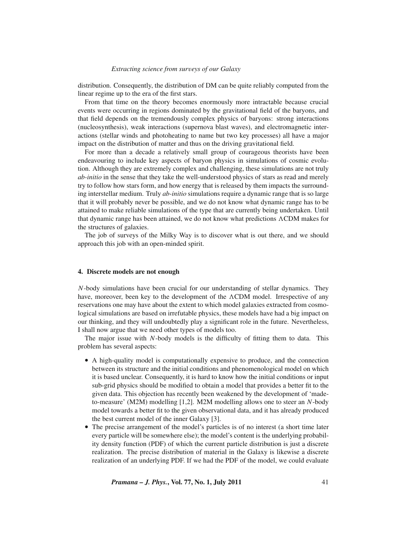distribution. Consequently, the distribution of DM can be quite reliably computed from the linear regime up to the era of the first stars.

From that time on the theory becomes enormously more intractable because crucial events were occurring in regions dominated by the gravitational field of the baryons, and that field depends on the tremendously complex physics of baryons: strong interactions (nucleosynthesis), weak interactions (supernova blast waves), and electromagnetic interactions (stellar winds and photoheating to name but two key processes) all have a major impact on the distribution of matter and thus on the driving gravitational field.

For more than a decade a relatively small group of courageous theorists have been endeavouring to include key aspects of baryon physics in simulations of cosmic evolution. Although they are extremely complex and challenging, these simulations are not truly *ab-initio* in the sense that they take the well-understood physics of stars as read and merely try to follow how stars form, and how energy that is released by them impacts the surrounding interstellar medium. Truly *ab-initio* simulations require a dynamic range that is so large that it will probably never be possible, and we do not know what dynamic range has to be attained to make reliable simulations of the type that are currently being undertaken. Until that dynamic range has been attained, we do not know what predictions  $\Lambda CDM$  makes for the structures of galaxies.

The job of surveys of the Milky Way is to discover what is out there, and we should approach this job with an open-minded spirit.

#### **4. Discrete models are not enough**

*N*-body simulations have been crucial for our understanding of stellar dynamics. They have, moreover, been key to the development of the  $\Lambda$ CDM model. Irrespective of any reservations one may have about the extent to which model galaxies extracted from cosmological simulations are based on irrefutable physics, these models have had a big impact on our thinking, and they will undoubtedly play a significant role in the future. Nevertheless, I shall now argue that we need other types of models too.

The major issue with *N*-body models is the difficulty of fitting them to data. This problem has several aspects:

- A high-quality model is computationally expensive to produce, and the connection between its structure and the initial conditions and phenomenological model on which it is based unclear. Consequently, it is hard to know how the initial conditions or input sub-grid physics should be modified to obtain a model that provides a better fit to the given data. This objection has recently been weakened by the development of 'madeto-measure' (M2M) modelling [1,2]. M2M modelling allows one to steer an *N*-body model towards a better fit to the given observational data, and it has already produced the best current model of the inner Galaxy [3].
- The precise arrangement of the model's particles is of no interest (a short time later every particle will be somewhere else); the model's content is the underlying probability density function (PDF) of which the current particle distribution is just a discrete realization. The precise distribution of material in the Galaxy is likewise a discrete realization of an underlying PDF. If we had the PDF of the model, we could evaluate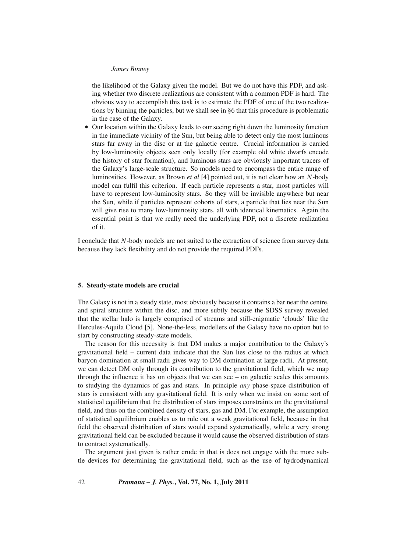the likelihood of the Galaxy given the model. But we do not have this PDF, and asking whether two discrete realizations are consistent with a common PDF is hard. The obvious way to accomplish this task is to estimate the PDF of one of the two realizations by binning the particles, but we shall see in §6 that this procedure is problematic in the case of the Galaxy.

• Our location within the Galaxy leads to our seeing right down the luminosity function in the immediate vicinity of the Sun, but being able to detect only the most luminous stars far away in the disc or at the galactic centre. Crucial information is carried by low-luminosity objects seen only locally (for example old white dwarfs encode the history of star formation), and luminous stars are obviously important tracers of the Galaxy's large-scale structure. So models need to encompass the entire range of luminosities. However, as Brown *et al* [4] pointed out, it is not clear how an *N*-body model can fulfil this criterion. If each particle represents a star, most particles will have to represent low-luminosity stars. So they will be invisible anywhere but near the Sun, while if particles represent cohorts of stars, a particle that lies near the Sun will give rise to many low-luminosity stars, all with identical kinematics. Again the essential point is that we really need the underlying PDF, not a discrete realization of it.

I conclude that *N*-body models are not suited to the extraction of science from survey data because they lack flexibility and do not provide the required PDFs.

### **5. Steady-state models are crucial**

The Galaxy is not in a steady state, most obviously because it contains a bar near the centre, and spiral structure within the disc, and more subtly because the SDSS survey revealed that the stellar halo is largely comprised of streams and still-enigmatic 'clouds' like the Hercules-Aquila Cloud [5]. None-the-less, modellers of the Galaxy have no option but to start by constructing steady-state models.

The reason for this necessity is that DM makes a major contribution to the Galaxy's gravitational field – current data indicate that the Sun lies close to the radius at which baryon domination at small radii gives way to DM domination at large radii. At present, we can detect DM only through its contribution to the gravitational field, which we map through the influence it has on objects that we can see – on galactic scales this amounts to studying the dynamics of gas and stars. In principle *any* phase-space distribution of stars is consistent with any gravitational field. It is only when we insist on some sort of statistical equilibrium that the distribution of stars imposes constraints on the gravitational field, and thus on the combined density of stars, gas and DM. For example, the assumption of statistical equilibrium enables us to rule out a weak gravitational field, because in that field the observed distribution of stars would expand systematically, while a very strong gravitational field can be excluded because it would cause the observed distribution of stars to contract systematically.

The argument just given is rather crude in that is does not engage with the more subtle devices for determining the gravitational field, such as the use of hydrodynamical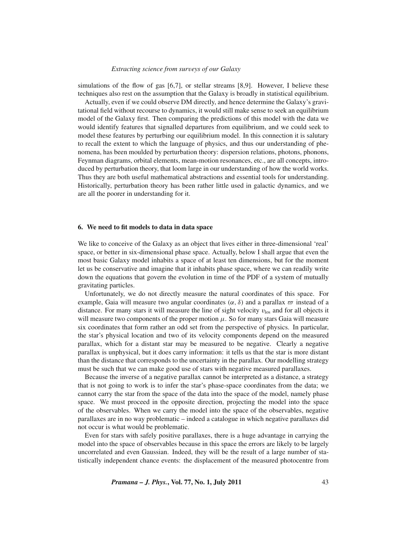simulations of the flow of gas [6,7], or stellar streams [8,9]. However, I believe these techniques also rest on the assumption that the Galaxy is broadly in statistical equilibrium.

Actually, even if we could observe DM directly, and hence determine the Galaxy's gravitational field without recourse to dynamics, it would still make sense to seek an equilibrium model of the Galaxy first. Then comparing the predictions of this model with the data we would identify features that signalled departures from equilibrium, and we could seek to model these features by perturbing our equilibrium model. In this connection it is salutary to recall the extent to which the language of physics, and thus our understanding of phenomena, has been moulded by perturbation theory: dispersion relations, photons, phonons, Feynman diagrams, orbital elements, mean-motion resonances, etc., are all concepts, introduced by perturbation theory, that loom large in our understanding of how the world works. Thus they are both useful mathematical abstractions and essential tools for understanding. Historically, perturbation theory has been rather little used in galactic dynamics, and we are all the poorer in understanding for it.

### **6. We need to fit models to data in data space**

We like to conceive of the Galaxy as an object that lives either in three-dimensional 'real' space, or better in six-dimensional phase space. Actually, below I shall argue that even the most basic Galaxy model inhabits a space of at least ten dimensions, but for the moment let us be conservative and imagine that it inhabits phase space, where we can readily write down the equations that govern the evolution in time of the PDF of a system of mutually gravitating particles.

Unfortunately, we do not directly measure the natural coordinates of this space. For example, Gaia will measure two angular coordinates ( $\alpha$ ,  $\delta$ ) and a parallax  $\sigma$  instead of a distance. For many stars it will measure the line of sight velocity  $v_{\text{los}}$  and for all objects it will measure two components of the proper motion  $\mu$ . So for many stars Gaia will measure six coordinates that form rather an odd set from the perspective of physics. In particular, the star's physical location and two of its velocity components depend on the measured parallax, which for a distant star may be measured to be negative. Clearly a negative parallax is unphysical, but it does carry information: it tells us that the star is more distant than the distance that corresponds to the uncertainty in the parallax. Our modelling strategy must be such that we can make good use of stars with negative measured parallaxes.

Because the inverse of a negative parallax cannot be interpreted as a distance, a strategy that is not going to work is to infer the star's phase-space coordinates from the data; we cannot carry the star from the space of the data into the space of the model, namely phase space. We must proceed in the opposite direction, projecting the model into the space of the observables. When we carry the model into the space of the observables, negative parallaxes are in no way problematic – indeed a catalogue in which negative parallaxes did not occur is what would be problematic.

Even for stars with safely positive parallaxes, there is a huge advantage in carrying the model into the space of observables because in this space the errors are likely to be largely uncorrelated and even Gaussian. Indeed, they will be the result of a large number of statistically independent chance events: the displacement of the measured photocentre from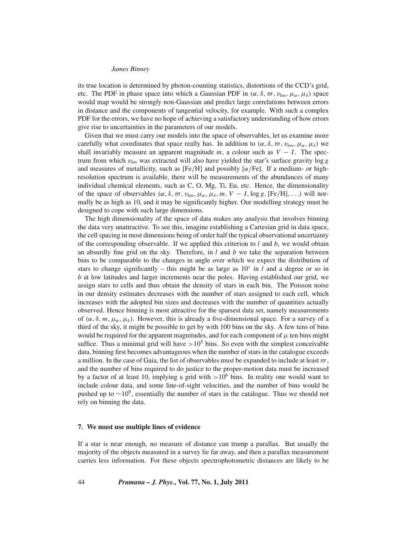its true location is determined by photon-counting statistics, distortions of the CCD's grid, etc. The PDF in phase space into which a Gaussian PDF in  $(\alpha, \delta, \varpi, \nu_{\text{los}}, \mu_{\alpha}, \mu_{\delta})$  space would map would be strongly non-Gaussian and predict large correlations between errors in distance and the components of tangential velocity, for example. With such a complex PDF for the errors, we have no hope of achieving a satisfactory understanding of how errors give rise to uncertainties in the parameters of our models.

Given that we must carry our models into the space of observables, let us examine more carefully what coordinates that space really has. In addition to  $(\alpha, \delta, \varpi, v_{\text{los}}, \mu_{\alpha}, \mu_{\delta})$  we shall invariably measure an apparent magnitude  $m$ , a colour such as  $V - I$ . The spectrum from which  $v_{\text{los}}$  was extracted will also have yielded the star's surface gravity log  $g$ and measures of metallicity, such as [Fe/H] and possibly [ $\alpha$ /Fe]. If a medium- or highresolution spectrum is available, there will be measurements of the abundances of many individual chemical elements, such as C, O, Mg, Ti, Eu, etc. Hence, the dimensionality of the space of observables  $(\alpha, \delta, \varpi, v_{\text{los}}, \mu_\alpha, \mu_\delta, m, V - I, \log g, [Fe/H], \ldots)$  will normally be as high as 10, and it may be significantly higher. Our modelling strategy must be designed to cope with such large dimensions.

The high dimensionality of the space of data makes any analysis that involves binning the data very unattractive. To see this, imagine establishing a Cartesian grid in data space, the cell spacing in most dimensions being of order half the typical observational uncertainty of the corresponding observable. If we applied this criterion to *l* and *b*, we would obtain an absurdly fine grid on the sky. Therefore, in *l* and *b* we take the separation between bins to be comparable to the changes in angle over which we expect the distribution of stars to change significantly – this might be as large as  $10°$  in *l* and a degree or so in *b* at low latitudes and larger increments near the poles. Having established our grid, we assign stars to cells and thus obtain the density of stars in each bin. The Poisson noise in our density estimates decreases with the number of stars assigned to each cell, which increases with the adopted bin sizes and decreases with the number of quantities actually observed. Hence binning is most attractive for the sparsest data set, namely measurements of  $(\alpha, \delta, m, \mu_{\alpha}, \mu_{\delta})$ . However, this is already a five-dimensional space. For a survey of a third of the sky, it might be possible to get by with 100 bins on the sky. A few tens of bins would be required for the apparent magnitudes, and for each component of  $\mu$  ten bins might suffice. Thus a minimal grid will have  $>10^5$  bins. So even with the simplest conceivable data, binning first becomes advantageous when the number of stars in the catalogue exceeds a million. In the case of Gaia, the list of observables must be expanded to include at least  $\varpi$ , and the number of bins required to do justice to the proper-motion data must be increased by a factor of at least 10, implying a grid with  $>10^6$  bins. In reality one would want to include colour data, and some line-of-sight velocities, and the number of bins would be pushed up to  $\sim$ 10<sup>9</sup>, essentially the number of stars in the catalogue. Thus we should not rely on binning the data.

### **7. We must use multiple lines of evidence**

If a star is near enough, no measure of distance can trump a parallax. But usually the majority of the objects measured in a survey lie far away, and then a parallax measurement carries less information. For these objects spectrophotometric distances are likely to be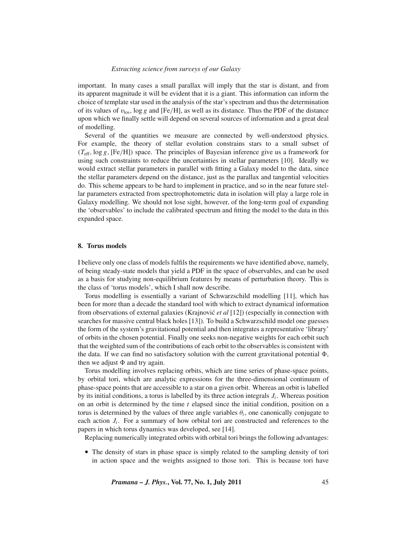important. In many cases a small parallax will imply that the star is distant, and from its apparent magnitude it will be evident that it is a giant. This information can inform the choice of template star used in the analysis of the star's spectrum and thus the determination of its values of  $v_{\text{los}}$ , log g and [Fe/H], as well as its distance. Thus the PDF of the distance upon which we finally settle will depend on several sources of information and a great deal of modelling.

Several of the quantities we measure are connected by well-understood physics. For example, the theory of stellar evolution constrains stars to a small subset of  $(T_{\text{eff}}$ ,  $\log g$ , [Fe/H]) space. The principles of Bayesian inference give us a framework for using such constraints to reduce the uncertainties in stellar parameters [10]. Ideally we would extract stellar parameters in parallel with fitting a Galaxy model to the data, since the stellar parameters depend on the distance, just as the parallax and tangential velocities do. This scheme appears to be hard to implement in practice, and so in the near future stellar parameters extracted from spectrophotometric data in isolation will play a large role in Galaxy modelling. We should not lose sight, however, of the long-term goal of expanding the 'observables' to include the calibrated spectrum and fitting the model to the data in this expanded space.

# **8. Torus models**

I believe only one class of models fulfils the requirements we have identified above, namely, of being steady-state models that yield a PDF in the space of observables, and can be used as a basis for studying non-equilibrium features by means of perturbation theory. This is the class of 'torus models', which I shall now describe.

Torus modelling is essentially a variant of Schwarzschild modelling [11], which has been for more than a decade the standard tool with which to extract dynamical information from observations of external galaxies (Krajnovic´ *et al* [12]) (especially in connection with searches for massive central black holes [13]). To build a Schwarzschild model one guesses the form of the system's gravitational potential and then integrates a representative 'library' of orbits in the chosen potential. Finally one seeks non-negative weights for each orbit such that the weighted sum of the contributions of each orbit to the observables is consistent with the data. If we can find no satisfactory solution with the current gravitational potential  $\Phi$ , then we adjust  $\Phi$  and try again.

Torus modelling involves replacing orbits, which are time series of phase-space points, by orbital tori, which are analytic expressions for the three-dimensional continuum of phase-space points that are accessible to a star on a given orbit. Whereas an orbit is labelled by its initial conditions, a torus is labelled by its three action integrals *Ji* . Whereas position on an orbit is determined by the time *t* elapsed since the initial condition, position on a torus is determined by the values of three angle variables  $\theta_i$ , one canonically conjugate to each action  $J_i$ . For a summary of how orbital tori are constructed and references to the papers in which torus dynamics was developed, see [14].

Replacing numerically integrated orbits with orbital tori brings the following advantages:

• The density of stars in phase space is simply related to the sampling density of tori in action space and the weights assigned to those tori. This is because tori have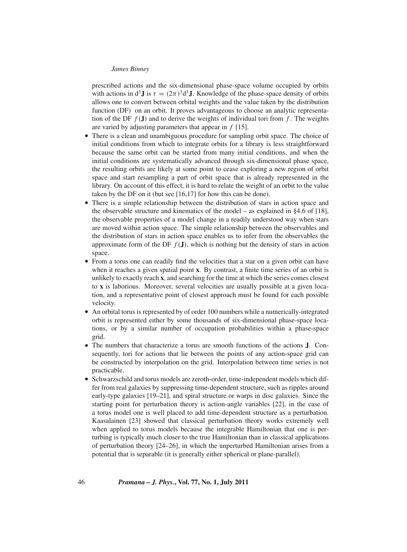prescribed actions and the six-dimensional phase-space volume occupied by orbits with actions in  $d^3\mathbf{J}$  is  $\tau = (2\pi)^3 d^3\mathbf{J}$ . Knowledge of the phase-space density of orbits allows one to convert between orbital weights and the value taken by the distribution function (DF) on an orbit. It proves advantageous to choose an analytic representation of the DF  $f(\mathbf{J})$  and to derive the weights of individual tori from  $f$ . The weights are varied by adjusting parameters that appear in *f* [15].

- There is a clean and unambiguous procedure for sampling orbit space. The choice of initial conditions from which to integrate orbits for a library is less straightforward because the same orbit can be started from many initial conditions, and when the initial conditions are systematically advanced through six-dimensional phase space, the resulting orbits are likely at some point to cease exploring a new region of orbit space and start resampling a part of orbit space that is already represented in the library. On account of this effect, it is hard to relate the weight of an orbit to the value taken by the DF on it (but see [16,17] for how this can be done).
- There is a simple relationship between the distribution of stars in action space and the observable structure and kinematics of the model – as explained in §4.6 of [18], the observable properties of a model change in a readily understood way when stars are moved within action space. The simple relationship between the observables and the distribution of stars in action space enables us to infer from the observables the approximate form of the DF  $f(\mathbf{J})$ , which is nothing but the density of stars in action space.
- From a torus one can readily find the velocities that a star on a given orbit can have when it reaches a given spatial point **x**. By contrast, a finite time series of an orbit is unlikely to exactly reach **x**, and searching for the time at which the series comes closest to **x** is laborious. Moreover, several velocities are usually possible at a given location, and a representative point of closest approach must be found for each possible velocity.
- An orbital torus is represented by of order 100 numbers while a numerically-integrated orbit is represented either by some thousands of six-dimensional phase-space locations, or by a similar number of occupation probabilities within a phase-space grid.
- The numbers that characterize a torus are smooth functions of the actions **J**. Consequently, tori for actions that lie between the points of any action-space grid can be constructed by interpolation on the grid. Interpolation between time series is not practicable.
- Schwarzschild and torus models are zeroth-order, time-independent models which differ from real galaxies by suppressing time-dependent structure, such as ripples around early-type galaxies [19–21], and spiral structure or warps in disc galaxies. Since the starting point for perturbation theory is action-angle variables [22], in the case of a torus model one is well placed to add time-dependent structure as a perturbation. Kaasalainen [23] showed that classical perturbation theory works extremely well when applied to torus models because the integrable Hamiltonian that one is perturbing is typically much closer to the true Hamiltonian than in classical applications of perturbation theory [24–26], in which the unperturbed Hamiltonian arises from a potential that is separable (it is generally either spherical or plane-parallel).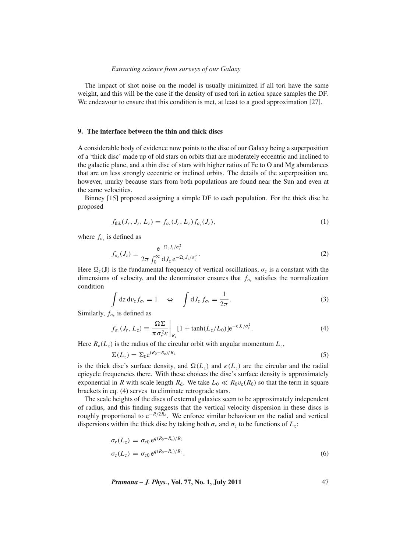The impact of shot noise on the model is usually minimized if all tori have the same weight, and this will be the case if the density of used tori in action space samples the DF. We endeavour to ensure that this condition is met, at least to a good approximation [27].

# **9. The interface between the thin and thick discs**

A considerable body of evidence now points to the disc of our Galaxy being a superposition of a 'thick disc' made up of old stars on orbits that are moderately eccentric and inclined to the galactic plane, and a thin disc of stars with higher ratios of Fe to O and Mg abundances that are on less strongly eccentric or inclined orbits. The details of the superposition are, however, murky because stars from both populations are found near the Sun and even at the same velocities.

Binney [15] proposed assigning a simple DF to each population. For the thick disc he proposed

$$
f_{\text{thk}}(J_r, J_z, L_z) = f_{\sigma_r}(J_r, L_z) f_{\sigma_z}(J_z), \qquad (1)
$$

where  $f_{\sigma_z}$  is defined as

$$
f_{\sigma_z}(J_z) \equiv \frac{e^{-\Omega_z J_z/\sigma_z^2}}{2\pi \int_0^\infty dJ_z e^{-\Omega_z J_z/\sigma_z^2}}.
$$
 (2)

Here  $\Omega_z(\mathbf{J})$  is the fundamental frequency of vertical oscillations,  $\sigma_z$  is a constant with the dimensions of velocity, and the denominator ensures that  $f_{\sigma_z}$  satisfies the normalization condition

$$
\int dz dv_z f_{\sigma_z} = 1 \quad \Leftrightarrow \quad \int dJ_z f_{\sigma_z} = \frac{1}{2\pi}.
$$
\n(3)

Similarly,  $f_{\sigma_r}$  is defined as

$$
f_{\sigma_r}(J_r, L_z) \equiv \frac{\Omega \Sigma}{\pi \sigma_r^2 \kappa} \bigg|_{R_c} [1 + \tanh(L_z/L_0)] e^{-\kappa J_r / \sigma_r^2}.
$$
 (4)

Here  $R_c(L_z)$  is the radius of the circular orbit with angular momentum  $L_z$ ,

$$
\Sigma(L_z) = \Sigma_0 e^{(R_0 - R_c)/R_d} \tag{5}
$$

is the thick disc's surface density, and  $\Omega(L_z)$  and  $\kappa(L_z)$  are the circular and the radial epicycle frequencies there. With these choices the disc's surface density is approximately exponential in *R* with scale length  $R_d$ . We take  $L_0 \ll R_0v_c(R_0)$  so that the term in square brackets in eq. (4) serves to eliminate retrograde stars.

The scale heights of the discs of external galaxies seem to be approximately independent of radius, and this finding suggests that the vertical velocity dispersion in these discs is roughly proportional to  $e^{-R/2R_d}$ . We enforce similar behaviour on the radial and vertical dispersions within the thick disc by taking both  $\sigma_r$  and  $\sigma_z$  to be functions of  $L_z$ :

$$
\sigma_r(L_z) = \sigma_{r0} e^{q(R_0 - R_c)/R_d}
$$
  
\n
$$
\sigma_z(L_z) = \sigma_{z0} e^{q(R_0 - R_c)/R_d}.
$$
\n(6)

*Pramana – J. Phys.***, Vol. 77, No. 1, July 2011** 47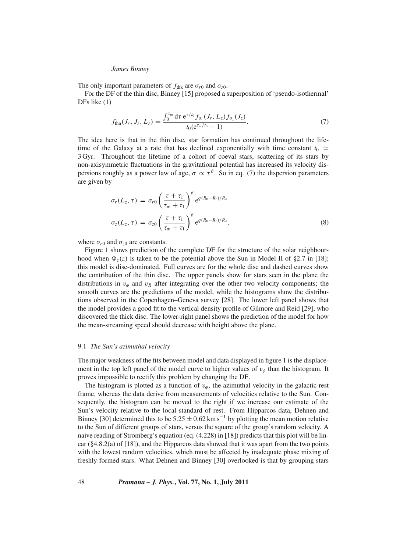The only important parameters of  $f_{\text{thk}}$  are  $\sigma_{r0}$  and  $\sigma_{z0}$ .

For the DF of the thin disc, Binney [15] proposed a superposition of 'pseudo-isothermal' DFs like (1)

$$
f_{\text{thn}}(J_r, J_z, L_z) = \frac{\int_0^{\tau_{\text{m}}} d\tau \, e^{\tau/t_0} f_{\sigma_r}(J_r, L_z) f_{\sigma_z}(J_z)}{t_0 (e^{\tau_{\text{m}}/t_0} - 1)}.
$$
 (7)

The idea here is that in the thin disc, star formation has continued throughout the lifetime of the Galaxy at a rate that has declined exponentially with time constant  $t_0 \simeq$ 3 Gyr. Throughout the lifetime of a cohort of coeval stars, scattering of its stars by non-axisymmetric fluctuations in the gravitational potential has increased its velocity dispersions roughly as a power law of age,  $\sigma \propto \tau^{\beta}$ . So in eq. (7) the dispersion parameters are given by

$$
\sigma_r(L_z, \tau) = \sigma_{r0} \left( \frac{\tau + \tau_1}{\tau_m + \tau_1} \right)^{\beta} e^{q(R_0 - R_c)/R_d}
$$

$$
\sigma_z(L_z, \tau) = \sigma_{z0} \left( \frac{\tau + \tau_1}{\tau_m + \tau_1} \right)^{\beta} e^{q(R_0 - R_c)/R_d}, \tag{8}
$$

where  $\sigma_{r0}$  and  $\sigma_{z0}$  are constants.

Figure 1 shows prediction of the complete DF for the structure of the solar neighbourhood when  $\Phi_z(z)$  is taken to be the potential above the Sun in Model II of §2.7 in [18]; this model is disc-dominated. Full curves are for the whole disc and dashed curves show the contribution of the thin disc. The upper panels show for stars seen in the plane the distributions in  $v_{\phi}$  and  $v_R$  after integrating over the other two velocity components; the smooth curves are the predictions of the model, while the histograms show the distributions observed in the Copenhagen–Geneva survey [28]. The lower left panel shows that the model provides a good fit to the vertical density profile of Gilmore and Reid [29], who discovered the thick disc. The lower-right panel shows the prediction of the model for how the mean-streaming speed should decrease with height above the plane.

### 9.1 *The Sun's azimuthal velocity*

The major weakness of the fits between model and data displayed in figure 1 is the displacement in the top left panel of the model curve to higher values of  $v_{\phi}$  than the histogram. It proves impossible to rectify this problem by changing the DF.

The histogram is plotted as a function of  $v_{\phi}$ , the azimuthal velocity in the galactic rest frame, whereas the data derive from measurements of velocities relative to the Sun. Consequently, the histogram can be moved to the right if we increase our estimate of the Sun's velocity relative to the local standard of rest. From Hipparcos data, Dehnen and Binney [30] determined this to be  $5.25 \pm 0.62$  km s<sup>-1</sup> by plotting the mean motion relative to the Sun of different groups of stars, versus the square of the group's random velocity. A naive reading of Stromberg's equation (eq. (4.228) in [18]) predicts that this plot will be linear (§4.8.2(a) of [18]), and the Hipparcos data showed that it was apart from the two points with the lowest random velocities, which must be affected by inadequate phase mixing of freshly formed stars. What Dehnen and Binney [30] overlooked is that by grouping stars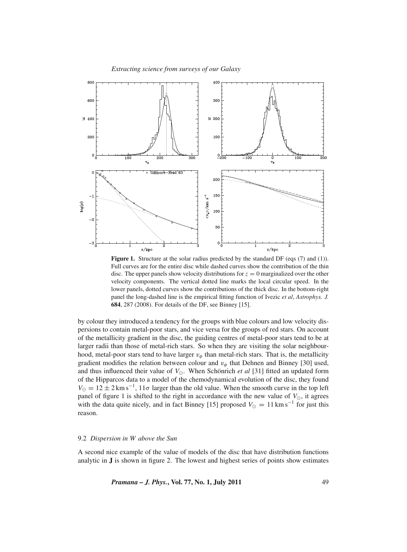

Figure 1. Structure at the solar radius predicted by the standard DF (eqs (7) and (1)). Full curves are for the entire disc while dashed curves show the contribution of the thin disc. The upper panels show velocity distributions for  $z = 0$  marginalized over the other velocity components. The vertical dotted line marks the local circular speed. In the lower panels, dotted curves show the contributions of the thick disc. In the bottom-right panel the long-dashed line is the empirical fitting function of Ivezic *et al*, *Astrophys. J.* **684**, 287 (2008). For details of the DF, see Binney [15].

by colour they introduced a tendency for the groups with blue colours and low velocity dispersions to contain metal-poor stars, and vice versa for the groups of red stars. On account of the metallicity gradient in the disc, the guiding centres of metal-poor stars tend to be at larger radii than those of metal-rich stars. So when they are visiting the solar neighbourhood, metal-poor stars tend to have larger  $v_{\phi}$  than metal-rich stars. That is, the metallicity gradient modifies the relation between colour and  $v_{\phi}$  that Dehnen and Binney [30] used, and thus influenced their value of  $V_{\odot}$ . When Schönrich *et al* [31] fitted an updated form of the Hipparcos data to a model of the chemodynamical evolution of the disc, they found  $V_{\odot} = 12 \pm 2 \text{ km s}^{-1}$ ,  $11\sigma$  larger than the old value. When the smooth curve in the top left panel of figure 1 is shifted to the right in accordance with the new value of  $V_{\odot}$ , it agrees with the data quite nicely, and in fact Binney [15] proposed  $V_{\odot} = 11 \text{ km s}^{-1}$  for just this reason.

# 9.2 *Dispersion in W above the Sun*

A second nice example of the value of models of the disc that have distribution functions analytic in **J** is shown in figure 2. The lowest and highest series of points show estimates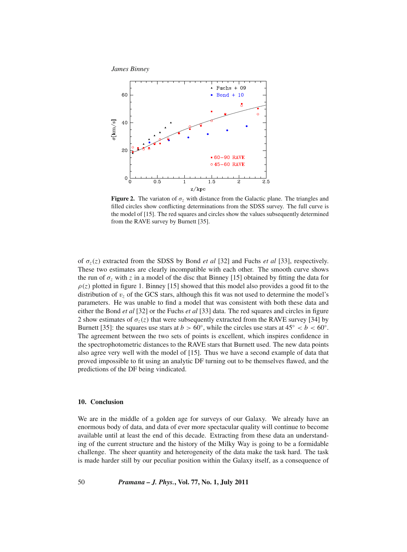

**Figure 2.** The variaton of  $\sigma$ <sub>z</sub> with distance from the Galactic plane. The triangles and filled circles show conflicting determinations from the SDSS survey. The full curve is the model of [15]. The red squares and circles show the values subsequently determined from the RAVE survey by Burnett [35].

of  $\sigma_z(z)$  extracted from the SDSS by Bond *et al* [32] and Fuchs *et al* [33], respectively. These two estimates are clearly incompatible with each other. The smooth curve shows the run of  $\sigma_z$  with z in a model of the disc that Binney [15] obtained by fitting the data for  $\rho(z)$  plotted in figure 1. Binney [15] showed that this model also provides a good fit to the distribution of  $v_z$  of the GCS stars, although this fit was not used to determine the model's parameters. He was unable to find a model that was consistent with both these data and either the Bond *et al* [32] or the Fuchs *et al* [33] data. The red squares and circles in figure 2 show estimates of  $\sigma_z(z)$  that were subsequently extracted from the RAVE survey [34] by Burnett [35]: the squares use stars at  $b > 60°$ , while the circles use stars at  $45° < b < 60°$ . The agreement between the two sets of points is excellent, which inspires confidence in the spectrophotometric distances to the RAVE stars that Burnett used. The new data points also agree very well with the model of [15]. Thus we have a second example of data that proved impossible to fit using an analytic DF turning out to be themselves flawed, and the predictions of the DF being vindicated.

# **10. Conclusion**

We are in the middle of a golden age for surveys of our Galaxy. We already have an enormous body of data, and data of ever more spectacular quality will continue to become available until at least the end of this decade. Extracting from these data an understanding of the current structure and the history of the Milky Way is going to be a formidable challenge. The sheer quantity and heterogeneity of the data make the task hard. The task is made harder still by our peculiar position within the Galaxy itself, as a consequence of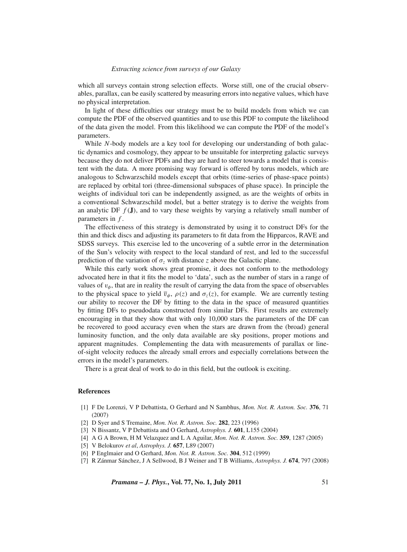which all surveys contain strong selection effects. Worse still, one of the crucial observables, parallax, can be easily scattered by measuring errors into negative values, which have no physical interpretation.

In light of these difficulties our strategy must be to build models from which we can compute the PDF of the observed quantities and to use this PDF to compute the likelihood of the data given the model. From this likelihood we can compute the PDF of the model's parameters.

While *N*-body models are a key tool for developing our understanding of both galactic dynamics and cosmology, they appear to be unsuitable for interpreting galactic surveys because they do not deliver PDFs and they are hard to steer towards a model that is consistent with the data. A more promising way forward is offered by torus models, which are analogous to Schwarzschild models except that orbits (time-series of phase-space points) are replaced by orbital tori (three-dimensional subspaces of phase space). In principle the weights of individual tori can be independently assigned, as are the weights of orbits in a conventional Schwarzschild model, but a better strategy is to derive the weights from an analytic DF  $f(\mathbf{J})$ , and to vary these weights by varying a relatively small number of parameters in *f* .

The effectiveness of this strategy is demonstrated by using it to construct DFs for the thin and thick discs and adjusting its parameters to fit data from the Hipparcos, RAVE and SDSS surveys. This exercise led to the uncovering of a subtle error in the determination of the Sun's velocity with respect to the local standard of rest, and led to the successful prediction of the variation of  $\sigma_z$  with distance *z* above the Galactic plane.

While this early work shows great promise, it does not conform to the methodology advocated here in that it fits the model to 'data', such as the number of stars in a range of values of  $v_{\phi}$ , that are in reality the result of carrying the data from the space of observables to the physical space to yield  $\bar{v}_\phi$ ,  $\rho(z)$  and  $\sigma_z(z)$ , for example. We are currently testing our ability to recover the DF by fitting to the data in the space of measured quantities by fitting DFs to pseudodata constructed from similar DFs. First results are extremely encouraging in that they show that with only 10,000 stars the parameters of the DF can be recovered to good accuracy even when the stars are drawn from the (broad) general luminosity function, and the only data available are sky positions, proper motions and apparent magnitudes. Complementing the data with measurements of parallax or lineof-sight velocity reduces the already small errors and especially correlations between the errors in the model's parameters.

There is a great deal of work to do in this field, but the outlook is exciting.

### **References**

- [1] F De Lorenzi, V P Debattista, O Gerhard and N Sambhus, *Mon. Not. R. Astron. Soc.* **376**, 71 (2007)
- [2] D Syer and S Tremaine, *Mon. Not. R. Astron. Soc.* **282**, 223 (1996)
- [3] N Bissantz, V P Debattista and O Gerhard, *Astrophys. J.* **601**, L155 (2004)
- [4] A G A Brown, H M Velazquez and L A Aguilar, *Mon. Not. R. Astron. Soc.* **359**, 1287 (2005)
- [5] V Belokurov *et al*, *Astrophys. J.* **657**, L89 (2007)
- [6] P Englmaier and O Gerhard, *Mon. Not. R. Astron. Soc.* **304**, 512 (1999)
- [7] R Zánmar Sánchez, J A Sellwood, B J Weiner and T B Williams, *Astrophys. J.* **674**, 797 (2008)